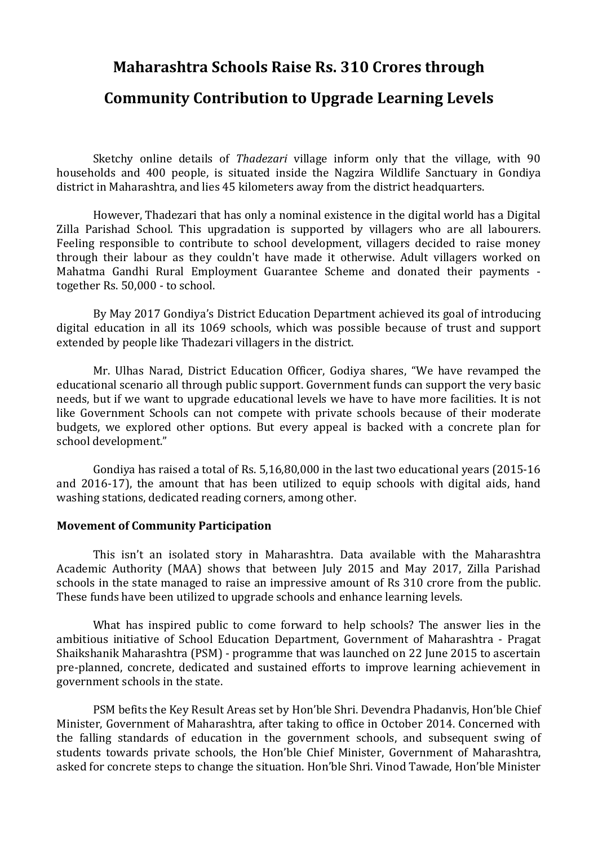# **Maharashtra Schools Raise Rs. 310 Crores through**

# **Community Contribution to Upgrade Learning Levels**

Sketchy online details of *Thadezari* village inform only that the village, with 90 households and 400 people, is situated inside the Nagzira Wildlife Sanctuary in Gondiya district in Maharashtra, and lies 45 kilometers away from the district headquarters.

However, Thadezari that has only a nominal existence in the digital world has a Digital Zilla Parishad School. This upgradation is supported by villagers who are all labourers. Feeling responsible to contribute to school development, villagers decided to raise money through their labour as they couldn't have made it otherwise. Adult villagers worked on Mahatma Gandhi Rural Employment Guarantee Scheme and donated their payments together Rs. 50,000 - to school.

By May 2017 Gondiya's District Education Department achieved its goal of introducing digital education in all its 1069 schools, which was possible because of trust and support extended by people like Thadezari villagers in the district.

Mr. Ulhas Narad, District Education Officer, Godiya shares, "We have revamped the educational scenario all through public support. Government funds can support the very basic needs, but if we want to upgrade educational levels we have to have more facilities. It is not like Government Schools can not compete with private schools because of their moderate budgets, we explored other options. But every appeal is backed with a concrete plan for school development."

Gondiya has raised a total of Rs. 5,16,80,000 in the last two educational years (2015-16 and 2016-17), the amount that has been utilized to equip schools with digital aids, hand washing stations, dedicated reading corners, among other.

### **Movement of Community Participation**

This isn't an isolated story in Maharashtra. Data available with the Maharashtra Academic Authority (MAA) shows that between July 2015 and May 2017, Zilla Parishad schools in the state managed to raise an impressive amount of Rs 310 crore from the public. These funds have been utilized to upgrade schools and enhance learning levels.

What has inspired public to come forward to help schools? The answer lies in the ambitious initiative of School Education Department, Government of Maharashtra - Pragat Shaikshanik Maharashtra (PSM) - programme that was launched on 22 June 2015 to ascertain pre-planned, concrete, dedicated and sustained efforts to improve learning achievement in government schools in the state.

PSM befits the Key Result Areas set by Hon'ble Shri. Devendra Phadanvis, Hon'ble Chief Minister, Government of Maharashtra, after taking to office in October 2014. Concerned with the falling standards of education in the government schools, and subsequent swing of students towards private schools, the Hon'ble Chief Minister, Government of Maharashtra, asked for concrete steps to change the situation. Hon'ble Shri. Vinod Tawade, Hon'ble Minister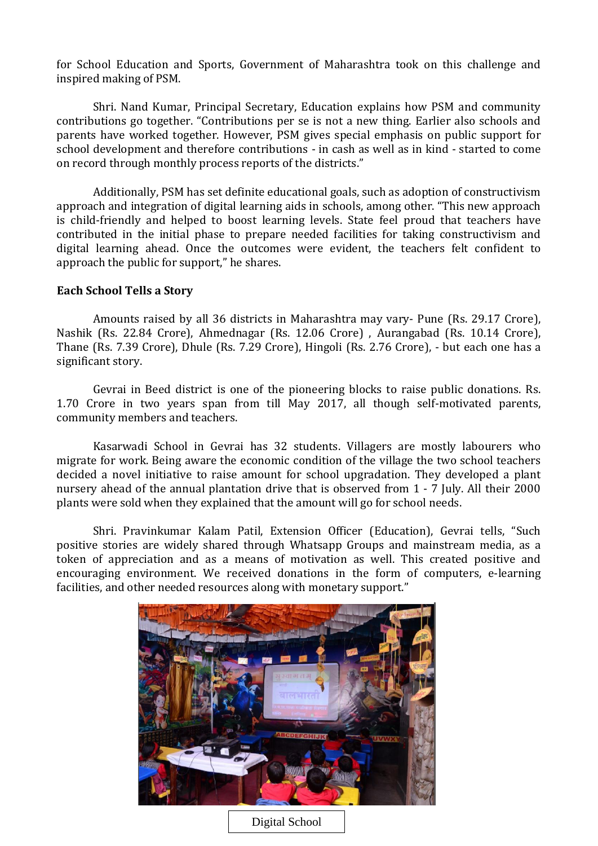for School Education and Sports, Government of Maharashtra took on this challenge and inspired making of PSM.

Shri. Nand Kumar, Principal Secretary, Education explains how PSM and community contributions go together. "Contributions per se is not a new thing. Earlier also schools and parents have worked together. However, PSM gives special emphasis on public support for school development and therefore contributions - in cash as well as in kind - started to come on record through monthly process reports of the districts."

Additionally, PSM has set definite educational goals, such as adoption of constructivism approach and integration of digital learning aids in schools, among other. "This new approach is child-friendly and helped to boost learning levels. State feel proud that teachers have contributed in the initial phase to prepare needed facilities for taking constructivism and digital learning ahead. Once the outcomes were evident, the teachers felt confident to approach the public for support," he shares.

#### **Each School Tells a Story**

Amounts raised by all 36 districts in Maharashtra may vary- Pune (Rs. 29.17 Crore), Nashik (Rs. 22.84 Crore), Ahmednagar (Rs. 12.06 Crore) , Aurangabad (Rs. 10.14 Crore), Thane (Rs. 7.39 Crore), Dhule (Rs. 7.29 Crore), Hingoli (Rs. 2.76 Crore), - but each one has a significant story.

Gevrai in Beed district is one of the pioneering blocks to raise public donations. Rs. 1.70 Crore in two years span from till May 2017, all though self-motivated parents, community members and teachers.

Kasarwadi School in Gevrai has 32 students. Villagers are mostly labourers who migrate for work. Being aware the economic condition of the village the two school teachers decided a novel initiative to raise amount for school upgradation. They developed a plant nursery ahead of the annual plantation drive that is observed from 1 - 7 July. All their 2000 plants were sold when they explained that the amount will go for school needs.

Shri. Pravinkumar Kalam Patil, Extension Officer (Education), Gevrai tells, "Such positive stories are widely shared through Whatsapp Groups and mainstream media, as a token of appreciation and as a means of motivation as well. This created positive and encouraging environment. We received donations in the form of computers, e-learning facilities, and other needed resources along with monetary support."

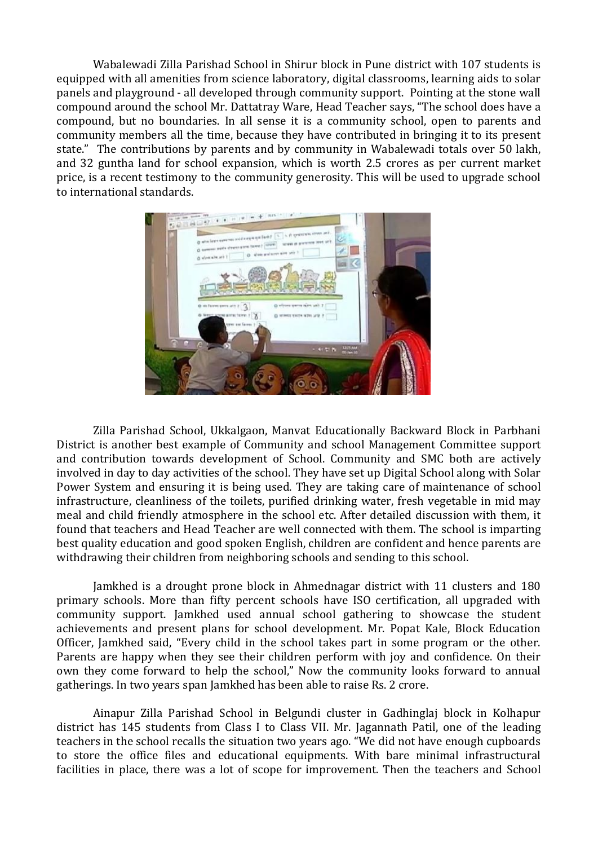Wabalewadi Zilla Parishad School in Shirur block in Pune district with 107 students is equipped with all amenities from science laboratory, digital classrooms, learning aids to solar panels and playground - all developed through community support. Pointing at the stone wall compound around the school Mr. Dattatray Ware, Head Teacher says, "The school does have a compound, but no boundaries. In all sense it is a community school, open to parents and community members all the time, because they have contributed in bringing it to its present state." The contributions by parents and by community in Wabalewadi totals over 50 lakh, and 32 guntha land for school expansion, which is worth 2.5 crores as per current market price, is a recent testimony to the community generosity. This will be used to upgrade school to international standards.



Zilla Parishad School, Ukkalgaon, Manvat Educationally Backward Block in Parbhani District is another best example of Community and school Management Committee support and contribution towards development of School. Community and SMC both are actively involved in day to day activities of the school. They have set up Digital School along with Solar Power System and ensuring it is being used. They are taking care of maintenance of school infrastructure, cleanliness of the toilets, purified drinking water, fresh vegetable in mid may meal and child friendly atmosphere in the school etc. After detailed discussion with them, it found that teachers and Head Teacher are well connected with them. The school is imparting best quality education and good spoken English, children are confident and hence parents are withdrawing their children from neighboring schools and sending to this school.

Jamkhed is a drought prone block in Ahmednagar district with 11 clusters and 180 primary schools. More than fifty percent schools have ISO certification, all upgraded with community support. Jamkhed used annual school gathering to showcase the student achievements and present plans for school development. Mr. Popat Kale, Block Education Officer, Jamkhed said, "Every child in the school takes part in some program or the other. Parents are happy when they see their children perform with joy and confidence. On their own they come forward to help the school," Now the community looks forward to annual gatherings. In two years span Jamkhed has been able to raise Rs. 2 crore.

Ainapur Zilla Parishad School in Belgundi cluster in Gadhinglaj block in Kolhapur district has 145 students from Class I to Class VII. Mr. Jagannath Patil, one of the leading teachers in the school recalls the situation two years ago. "We did not have enough cupboards to store the office files and educational equipments. With bare minimal infrastructural facilities in place, there was a lot of scope for improvement. Then the teachers and School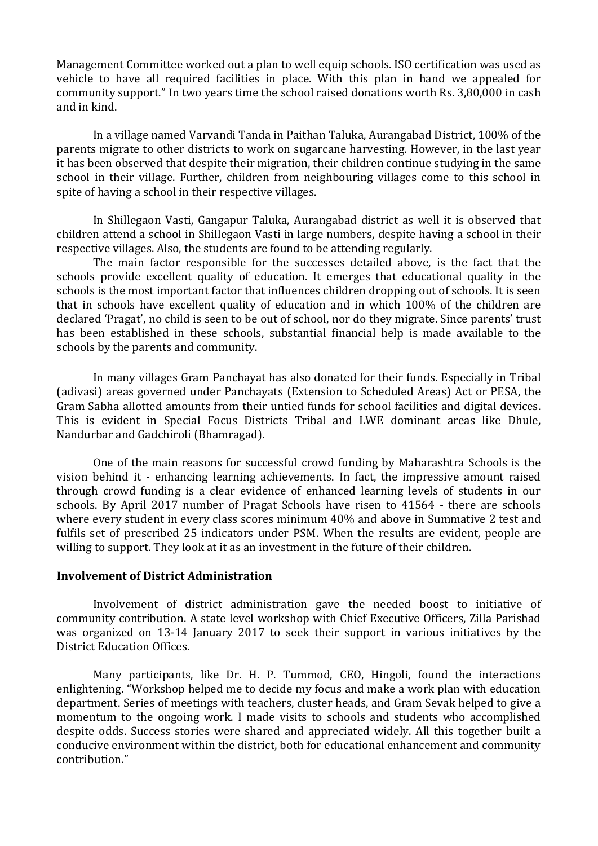Management Committee worked out a plan to well equip schools. ISO certification was used as vehicle to have all required facilities in place. With this plan in hand we appealed for community support." In two years time the school raised donations worth Rs. 3,80,000 in cash and in kind.

In a village named Varvandi Tanda in Paithan Taluka, Aurangabad District, 100% of the parents migrate to other districts to work on sugarcane harvesting. However, in the last year it has been observed that despite their migration, their children continue studying in the same school in their village. Further, children from neighbouring villages come to this school in spite of having a school in their respective villages.

In Shillegaon Vasti, Gangapur Taluka, Aurangabad district as well it is observed that children attend a school in Shillegaon Vasti in large numbers, despite having a school in their respective villages. Also, the students are found to be attending regularly.

The main factor responsible for the successes detailed above, is the fact that the schools provide excellent quality of education. It emerges that educational quality in the schools is the most important factor that influences children dropping out of schools. It is seen that in schools have excellent quality of education and in which 100% of the children are declared 'Pragat', no child is seen to be out of school, nor do they migrate. Since parents' trust has been established in these schools, substantial financial help is made available to the schools by the parents and community.

In many villages Gram Panchayat has also donated for their funds. Especially in Tribal (adivasi) areas governed under Panchayats (Extension to Scheduled Areas) Act or PESA, the Gram Sabha allotted amounts from their untied funds for school facilities and digital devices. This is evident in Special Focus Districts Tribal and LWE dominant areas like Dhule, Nandurbar and Gadchiroli (Bhamragad).

One of the main reasons for successful crowd funding by Maharashtra Schools is the vision behind it - enhancing learning achievements. In fact, the impressive amount raised through crowd funding is a clear evidence of enhanced learning levels of students in our schools. By April 2017 number of Pragat Schools have risen to 41564 - there are schools where every student in every class scores minimum 40% and above in Summative 2 test and fulfils set of prescribed 25 indicators under PSM. When the results are evident, people are willing to support. They look at it as an investment in the future of their children.

### **Involvement of District Administration**

Involvement of district administration gave the needed boost to initiative of community contribution. A state level workshop with Chief Executive Officers, Zilla Parishad was organized on 13-14 January 2017 to seek their support in various initiatives by the District Education Offices.

Many participants, like Dr. H. P. Tummod, CEO, Hingoli, found the interactions enlightening. "Workshop helped me to decide my focus and make a work plan with education department. Series of meetings with teachers, cluster heads, and Gram Sevak helped to give a momentum to the ongoing work. I made visits to schools and students who accomplished despite odds. Success stories were shared and appreciated widely. All this together built a conducive environment within the district, both for educational enhancement and community contribution."